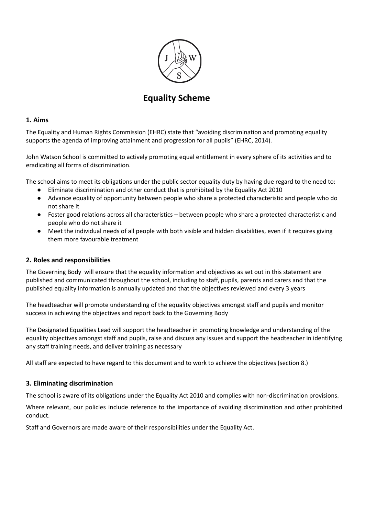

# **Equality Scheme**

#### **1. Aims**

The Equality and Human Rights Commission (EHRC) state that "avoiding discrimination and promoting equality supports the agenda of improving attainment and progression for all pupils" (EHRC, 2014).

John Watson School is committed to actively promoting equal entitlement in every sphere of its activities and to eradicating all forms of discrimination.

The school aims to meet its obligations under the public sector equality duty by having due regard to the need to:

- Eliminate discrimination and other conduct that is prohibited by the Equality Act 2010
- Advance equality of opportunity between people who share a protected characteristic and people who do not share it
- Foster good relations across all characteristics between people who share a protected characteristic and people who do not share it
- Meet the individual needs of all people with both visible and hidden disabilities, even if it requires giving them more favourable treatment

## **2. Roles and responsibilities**

The Governing Body will ensure that the equality information and objectives as set out in this statement are published and communicated throughout the school, including to staff, pupils, parents and carers and that the published equality information is annually updated and that the objectives reviewed and every 3 years

The headteacher will promote understanding of the equality objectives amongst staff and pupils and monitor success in achieving the objectives and report back to the Governing Body

The Designated Equalities Lead will support the headteacher in promoting knowledge and understanding of the equality objectives amongst staff and pupils, raise and discuss any issues and support the headteacher in identifying any staff training needs, and deliver training as necessary

All staff are expected to have regard to this document and to work to achieve the objectives (section 8.)

## **3. Eliminating discrimination**

The school is aware of its obligations under the Equality Act 2010 and complies with non-discrimination provisions.

Where relevant, our policies include reference to the importance of avoiding discrimination and other prohibited conduct.

Staff and Governors are made aware of their responsibilities under the Equality Act.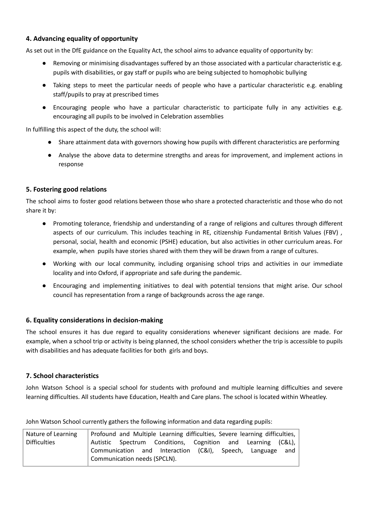## **4. Advancing equality of opportunity**

As set out in the DfE guidance on the Equality Act, the school aims to advance equality of opportunity by:

- Removing or minimising disadvantages suffered by an those associated with a particular characteristic e.g. pupils with disabilities, or gay staff or pupils who are being subjected to homophobic bullying
- Taking steps to meet the particular needs of people who have a particular characteristic e.g. enabling staff/pupils to pray at prescribed times
- Encouraging people who have a particular characteristic to participate fully in any activities e.g. encouraging all pupils to be involved in Celebration assemblies

In fulfilling this aspect of the duty, the school will:

- Share attainment data with governors showing how pupils with different characteristics are performing
- Analyse the above data to determine strengths and areas for improvement, and implement actions in response

## **5. Fostering good relations**

The school aims to foster good relations between those who share a protected characteristic and those who do not share it by:

- Promoting tolerance, friendship and understanding of a range of religions and cultures through different aspects of our curriculum. This includes teaching in RE, citizenship Fundamental British Values (FBV) , personal, social, health and economic (PSHE) education, but also activities in other curriculum areas. For example, when pupils have stories shared with them they will be drawn from a range of cultures.
- Working with our local community, including organising school trips and activities in our immediate locality and into Oxford, if appropriate and safe during the pandemic.
- Encouraging and implementing initiatives to deal with potential tensions that might arise. Our school council has representation from a range of backgrounds across the age range.

## **6. Equality considerations in decision-making**

The school ensures it has due regard to equality considerations whenever significant decisions are made. For example, when a school trip or activity is being planned, the school considers whether the trip is accessible to pupils with disabilities and has adequate facilities for both girls and boys.

## **7. School characteristics**

John Watson School is a special school for students with profound and multiple learning difficulties and severe learning difficulties. All students have Education, Health and Care plans. The school is located within Wheatley.

John Watson School currently gathers the following information and data regarding pupils:

| Nature of Learning  | Profound and Multiple Learning difficulties, Severe learning difficulties, |  |  |
|---------------------|----------------------------------------------------------------------------|--|--|
| <b>Difficulties</b> | Autistic Spectrum Conditions, Cognition and Learning (C&L),                |  |  |
|                     | Communication and Interaction (C&I), Speech, Language and                  |  |  |
|                     | Communication needs (SPCLN).                                               |  |  |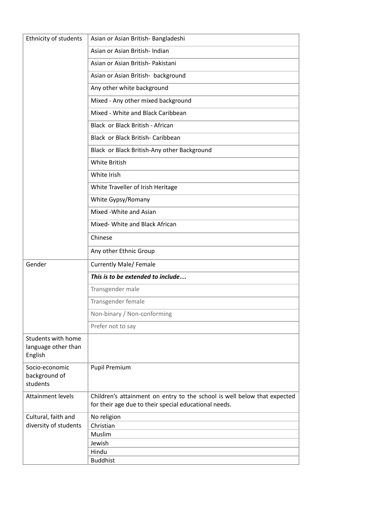| Ethnicity of students                       | Asian or Asian British-Bangladeshi                                                                                                |  |
|---------------------------------------------|-----------------------------------------------------------------------------------------------------------------------------------|--|
|                                             | Asian or Asian British- Indian                                                                                                    |  |
|                                             | Asian or Asian British- Pakistani                                                                                                 |  |
|                                             | Asian or Asian British- background                                                                                                |  |
|                                             | Any other white background                                                                                                        |  |
|                                             | Mixed - Any other mixed background                                                                                                |  |
|                                             | Mixed - White and Black Caribbean                                                                                                 |  |
|                                             | Black or Black British - African                                                                                                  |  |
|                                             | Black or Black British- Caribbean                                                                                                 |  |
|                                             | Black or Black British-Any other Background                                                                                       |  |
|                                             | <b>White British</b>                                                                                                              |  |
|                                             | White Irish                                                                                                                       |  |
|                                             | White Traveller of Irish Heritage                                                                                                 |  |
|                                             | White Gypsy/Romany                                                                                                                |  |
|                                             | Mixed - White and Asian                                                                                                           |  |
|                                             | Mixed- White and Black African                                                                                                    |  |
|                                             | Chinese                                                                                                                           |  |
|                                             | Any other Ethnic Group                                                                                                            |  |
| Gender                                      | <b>Currently Male/ Female</b>                                                                                                     |  |
|                                             | This is to be extended to include                                                                                                 |  |
|                                             | Transgender male                                                                                                                  |  |
|                                             | Transgender female                                                                                                                |  |
|                                             | Non-binary / Non-conforming                                                                                                       |  |
|                                             | Prefer not to say                                                                                                                 |  |
| <b>Students with home</b>                   |                                                                                                                                   |  |
| language other than<br>English              |                                                                                                                                   |  |
| Socio-economic<br>background of<br>students | <b>Pupil Premium</b>                                                                                                              |  |
| <b>Attainment levels</b>                    | Children's attainment on entry to the school is well below that expected<br>for their age due to their special educational needs. |  |
| Cultural, faith and                         | No religion                                                                                                                       |  |
| diversity of students                       | Christian                                                                                                                         |  |
|                                             | Muslim                                                                                                                            |  |
|                                             | Jewish                                                                                                                            |  |
|                                             | Hindu<br><b>Buddhist</b>                                                                                                          |  |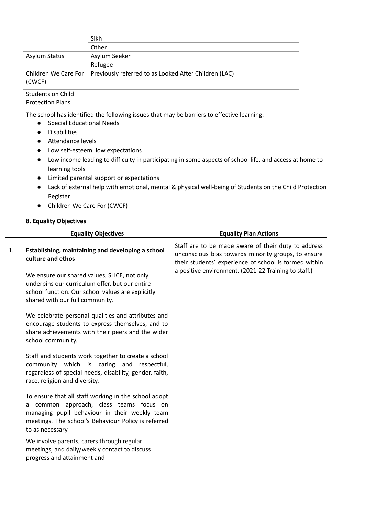|                                              | Sikh                                                  |
|----------------------------------------------|-------------------------------------------------------|
|                                              | Other                                                 |
| Asylum Status                                | Asylum Seeker                                         |
|                                              | Refugee                                               |
| Children We Care For<br>(CWCF)               | Previously referred to as Looked After Children (LAC) |
| Students on Child<br><b>Protection Plans</b> |                                                       |

The school has identified the following issues that may be barriers to effective learning:

- Special Educational Needs
- Disabilities
- Attendance levels
- Low self-esteem, low expectations
- Low income leading to difficulty in participating in some aspects of school life, and access at home to learning tools
- Limited parental support or expectations
- Lack of external help with emotional, mental & physical well-being of Students on the Child Protection Register
- Children We Care For (CWCF)

#### **8. Equality Objectives**

|                | <b>Equality Objectives</b>                                                                                                                                                                                                                                       | <b>Equality Plan Actions</b>                                                                                                                                                                                                |  |
|----------------|------------------------------------------------------------------------------------------------------------------------------------------------------------------------------------------------------------------------------------------------------------------|-----------------------------------------------------------------------------------------------------------------------------------------------------------------------------------------------------------------------------|--|
| $\mathbf{1}$ . | Establishing, maintaining and developing a school<br>culture and ethos<br>We ensure our shared values, SLICE, not only<br>underpins our curriculum offer, but our entire<br>school function. Our school values are explicitly<br>shared with our full community. | Staff are to be made aware of their duty to address<br>unconscious bias towards minority groups, to ensure<br>their students' experience of school is formed within<br>a positive environment. (2021-22 Training to staff.) |  |
|                | We celebrate personal qualities and attributes and<br>encourage students to express themselves, and to<br>share achievements with their peers and the wider<br>school community.                                                                                 |                                                                                                                                                                                                                             |  |
|                | Staff and students work together to create a school<br>community which is caring and respectful,<br>regardless of special needs, disability, gender, faith,<br>race, religion and diversity.                                                                     |                                                                                                                                                                                                                             |  |
|                | To ensure that all staff working in the school adopt<br>common approach, class teams focus on<br>a<br>managing pupil behaviour in their weekly team<br>meetings. The school's Behaviour Policy is referred<br>to as necessary.                                   |                                                                                                                                                                                                                             |  |
|                | We involve parents, carers through regular<br>meetings, and daily/weekly contact to discuss<br>progress and attainment and                                                                                                                                       |                                                                                                                                                                                                                             |  |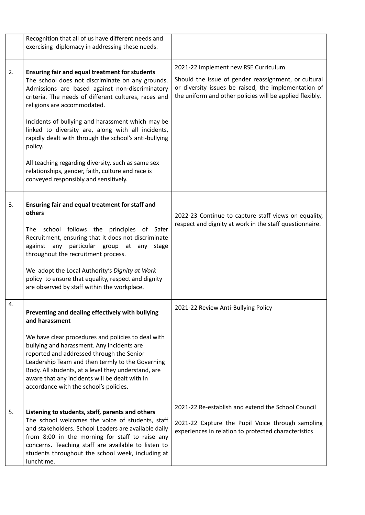|    | Recognition that all of us have different needs and<br>exercising diplomacy in addressing these needs.                                                                                                                                                                                                                                                                                                                                                                                                                                                                                 |                                                                                                                                                                                                                  |
|----|----------------------------------------------------------------------------------------------------------------------------------------------------------------------------------------------------------------------------------------------------------------------------------------------------------------------------------------------------------------------------------------------------------------------------------------------------------------------------------------------------------------------------------------------------------------------------------------|------------------------------------------------------------------------------------------------------------------------------------------------------------------------------------------------------------------|
| 2. | <b>Ensuring fair and equal treatment for students</b><br>The school does not discriminate on any grounds.<br>Admissions are based against non-discriminatory<br>criteria. The needs of different cultures, races and<br>religions are accommodated.<br>Incidents of bullying and harassment which may be<br>linked to diversity are, along with all incidents,<br>rapidly dealt with through the school's anti-bullying<br>policy.<br>All teaching regarding diversity, such as same sex<br>relationships, gender, faith, culture and race is<br>conveyed responsibly and sensitively. | 2021-22 Implement new RSE Curriculum<br>Should the issue of gender reassignment, or cultural<br>or diversity issues be raised, the implementation of<br>the uniform and other policies will be applied flexibly. |
| 3. | Ensuring fair and equal treatment for staff and<br>others<br>The school follows the principles of Safer<br>Recruitment, ensuring that it does not discriminate<br>particular group at any<br>against any<br>stage<br>throughout the recruitment process.<br>We adopt the Local Authority's Dignity at Work<br>policy to ensure that equality, respect and dignity<br>are observed by staff within the workplace.                                                                                                                                                                       | 2022-23 Continue to capture staff views on equality,<br>respect and dignity at work in the staff questionnaire.                                                                                                  |
| 4. | Preventing and dealing effectively with bullying<br>and harassment<br>We have clear procedures and policies to deal with<br>bullying and harassment. Any incidents are<br>reported and addressed through the Senior<br>Leadership Team and then termly to the Governing<br>Body. All students, at a level they understand, are<br>aware that any incidents will be dealt with in<br>accordance with the school's policies.                                                                                                                                                             | 2021-22 Review Anti-Bullying Policy                                                                                                                                                                              |
| 5. | Listening to students, staff, parents and others<br>The school welcomes the voice of students, staff<br>and stakeholders. School Leaders are available daily<br>from 8:00 in the morning for staff to raise any<br>concerns. Teaching staff are available to listen to<br>students throughout the school week, including at<br>lunchtime.                                                                                                                                                                                                                                              | 2021-22 Re-establish and extend the School Council<br>2021-22 Capture the Pupil Voice through sampling<br>experiences in relation to protected characteristics                                                   |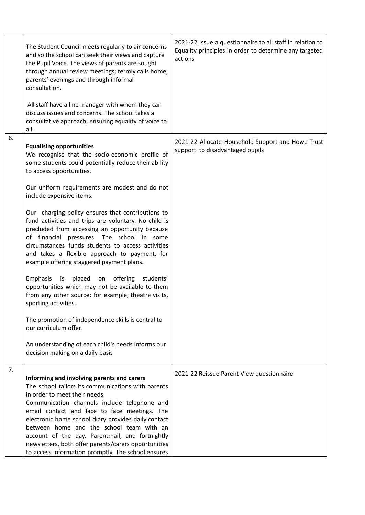|    | The Student Council meets regularly to air concerns<br>and so the school can seek their views and capture<br>the Pupil Voice. The views of parents are sought<br>through annual review meetings; termly calls home,<br>parents' evenings and through informal<br>consultation.<br>All staff have a line manager with whom they can<br>discuss issues and concerns. The school takes a<br>consultative approach, ensuring equality of voice to<br>all.                                                                                                                                                                                                                                                                                                                                                                                                                                                                                                                               | 2021-22 Issue a questionnaire to all staff in relation to<br>Equality principles in order to determine any targeted<br>actions |
|----|-------------------------------------------------------------------------------------------------------------------------------------------------------------------------------------------------------------------------------------------------------------------------------------------------------------------------------------------------------------------------------------------------------------------------------------------------------------------------------------------------------------------------------------------------------------------------------------------------------------------------------------------------------------------------------------------------------------------------------------------------------------------------------------------------------------------------------------------------------------------------------------------------------------------------------------------------------------------------------------|--------------------------------------------------------------------------------------------------------------------------------|
| 6. | <b>Equalising opportunities</b><br>We recognise that the socio-economic profile of<br>some students could potentially reduce their ability<br>to access opportunities.<br>Our uniform requirements are modest and do not<br>include expensive items.<br>Our charging policy ensures that contributions to<br>fund activities and trips are voluntary. No child is<br>precluded from accessing an opportunity because<br>of financial pressures. The school in some<br>circumstances funds students to access activities<br>and takes a flexible approach to payment, for<br>example offering staggered payment plans.<br>is placed on offering<br>Emphasis<br>students'<br>opportunities which may not be available to them<br>from any other source: for example, theatre visits,<br>sporting activities.<br>The promotion of independence skills is central to<br>our curriculum offer.<br>An understanding of each child's needs informs our<br>decision making on a daily basis | 2021-22 Allocate Household Support and Howe Trust<br>support to disadvantaged pupils                                           |
| 7. | Informing and involving parents and carers<br>The school tailors its communications with parents<br>in order to meet their needs.<br>Communication channels include telephone and<br>email contact and face to face meetings. The<br>electronic home school diary provides daily contact<br>between home and the school team with an<br>account of the day. Parentmail, and fortnightly<br>newsletters, both offer parents/carers opportunities<br>to access information promptly. The school ensures                                                                                                                                                                                                                                                                                                                                                                                                                                                                               | 2021-22 Reissue Parent View questionnaire                                                                                      |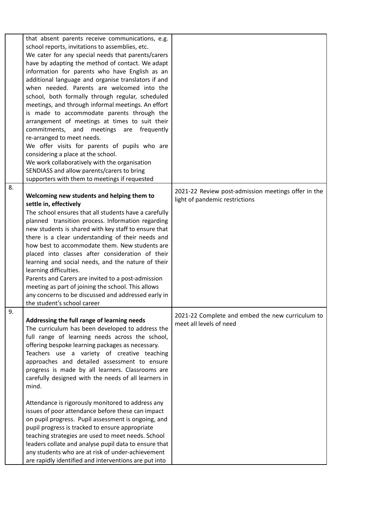|    | that absent parents receive communications, e.g.<br>school reports, invitations to assemblies, etc.<br>We cater for any special needs that parents/carers<br>have by adapting the method of contact. We adapt<br>information for parents who have English as an<br>additional language and organise translators if and<br>when needed. Parents are welcomed into the<br>school, both formally through regular, scheduled<br>meetings, and through informal meetings. An effort<br>is made to accommodate parents through the<br>arrangement of meetings at times to suit their<br>commitments, and meetings are frequently<br>re-arranged to meet needs.<br>We offer visits for parents of pupils who are<br>considering a place at the school.<br>We work collaboratively with the organisation |                                                                                       |
|----|--------------------------------------------------------------------------------------------------------------------------------------------------------------------------------------------------------------------------------------------------------------------------------------------------------------------------------------------------------------------------------------------------------------------------------------------------------------------------------------------------------------------------------------------------------------------------------------------------------------------------------------------------------------------------------------------------------------------------------------------------------------------------------------------------|---------------------------------------------------------------------------------------|
|    | SENDIASS and allow parents/carers to bring                                                                                                                                                                                                                                                                                                                                                                                                                                                                                                                                                                                                                                                                                                                                                       |                                                                                       |
|    | supporters with them to meetings if requested                                                                                                                                                                                                                                                                                                                                                                                                                                                                                                                                                                                                                                                                                                                                                    |                                                                                       |
| 8. | Welcoming new students and helping them to<br>settle in, effectively<br>The school ensures that all students have a carefully<br>planned transition process. Information regarding<br>new students is shared with key staff to ensure that<br>there is a clear understanding of their needs and<br>how best to accommodate them. New students are<br>placed into classes after consideration of their<br>learning and social needs, and the nature of their<br>learning difficulties.<br>Parents and Carers are invited to a post-admission<br>meeting as part of joining the school. This allows<br>any concerns to be discussed and addressed early in<br>the student's school career                                                                                                          | 2021-22 Review post-admission meetings offer in the<br>light of pandemic restrictions |
| 9. | Addressing the full range of learning needs<br>The curriculum has been developed to address the<br>full range of learning needs across the school,<br>offering bespoke learning packages as necessary.<br>Teachers use a variety of creative teaching<br>approaches and detailed assessment to ensure<br>progress is made by all learners. Classrooms are<br>carefully designed with the needs of all learners in<br>mind.<br>Attendance is rigorously monitored to address any                                                                                                                                                                                                                                                                                                                  | 2021-22 Complete and embed the new curriculum to<br>meet all levels of need           |
|    | issues of poor attendance before these can impact<br>on pupil progress. Pupil assessment is ongoing, and<br>pupil progress is tracked to ensure appropriate<br>teaching strategies are used to meet needs. School<br>leaders collate and analyse pupil data to ensure that<br>any students who are at risk of under-achievement<br>are rapidly identified and interventions are put into                                                                                                                                                                                                                                                                                                                                                                                                         |                                                                                       |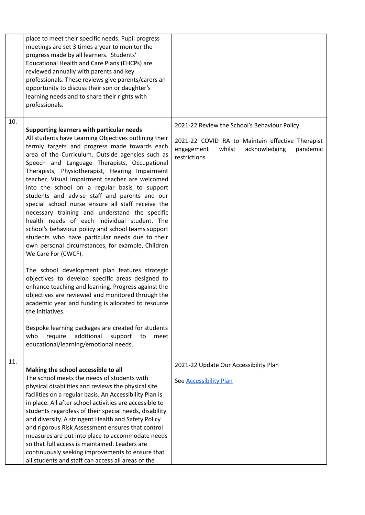|     | place to meet their specific needs. Pupil progress<br>meetings are set 3 times a year to monitor the<br>progress made by all learners. Students'<br>Educational Health and Care Plans (EHCPs) are<br>reviewed annually with parents and key<br>professionals. These reviews give parents/carers an<br>opportunity to discuss their son or daughter's<br>learning needs and to share their rights with<br>professionals.                                                                                                                                                                                                                                                                                                                                                                                     |                                                                                                                                                                       |
|-----|-------------------------------------------------------------------------------------------------------------------------------------------------------------------------------------------------------------------------------------------------------------------------------------------------------------------------------------------------------------------------------------------------------------------------------------------------------------------------------------------------------------------------------------------------------------------------------------------------------------------------------------------------------------------------------------------------------------------------------------------------------------------------------------------------------------|-----------------------------------------------------------------------------------------------------------------------------------------------------------------------|
| 10. | Supporting learners with particular needs<br>All students have Learning Objectives outlining their<br>termly targets and progress made towards each<br>area of the Curriculum. Outside agencies such as<br>Speech and Language Therapists, Occupational<br>Therapists, Physiotherapist, Hearing Impairment<br>teacher, Visual Impairment teacher are welcomed<br>into the school on a regular basis to support<br>students and advise staff and parents and our<br>special school nurse ensure all staff receive the<br>necessary training and understand the specific<br>health needs of each individual student. The<br>school's behaviour policy and school teams support<br>students who have particular needs due to their<br>own personal circumstances, for example, Children<br>We Care For (CWCF). | 2021-22 Review the School's Behaviour Policy<br>2021-22 COVID RA to Maintain effective Therapist<br>engagement<br>whilst<br>acknowledging<br>pandemic<br>restrictions |
|     | The school development plan features strategic<br>objectives to develop specific areas designed to<br>enhance teaching and learning. Progress against the<br>objectives are reviewed and monitored through the<br>academic year and funding is allocated to resource<br>the initiatives.<br>Bespoke learning packages are created for students<br>additional<br>who<br>require<br>support<br>to<br>meet<br>educational/learning/emotional needs.                                                                                                                                                                                                                                                                                                                                                            |                                                                                                                                                                       |
| 11. | Making the school accessible to all<br>The school meets the needs of students with<br>physical disabilities and reviews the physical site<br>facilities on a regular basis. An Accessibility Plan is<br>in place. All after school activities are accessible to<br>students regardless of their special needs, disability<br>and diversity. A stringent Health and Safety Policy<br>and rigorous Risk Assessment ensures that control<br>measures are put into place to accommodate needs<br>so that full access is maintained. Leaders are<br>continuously seeking improvements to ensure that<br>all students and staff can access all areas of the                                                                                                                                                       | 2021-22 Update Our Accessibility Plan<br>See Accessibility Plan                                                                                                       |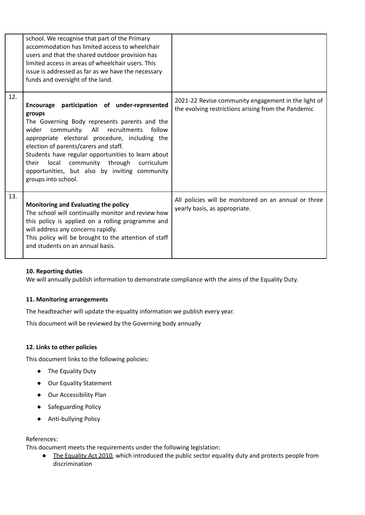|     | school. We recognise that part of the Primary<br>accommodation has limited access to wheelchair<br>users and that the shared outdoor provision has<br>limited access in areas of wheelchair users. This<br>issue is addressed as far as we have the necessary<br>funds and oversight of the land.                                                                                                                                       |                                                                                                            |
|-----|-----------------------------------------------------------------------------------------------------------------------------------------------------------------------------------------------------------------------------------------------------------------------------------------------------------------------------------------------------------------------------------------------------------------------------------------|------------------------------------------------------------------------------------------------------------|
| 12. | Encourage participation of under-represented<br>groups<br>The Governing Body represents parents and the<br>All<br>recruitments<br>wider<br>community.<br>follow<br>appropriate electoral procedure, including the<br>election of parents/carers and staff.<br>Students have regular opportunities to learn about<br>local community through curriculum<br>their<br>opportunities, but also by inviting community<br>groups into school. | 2021-22 Revise community engagement in the light of<br>the evolving restrictions arising from the Pandemic |
| 13. | Monitoring and Evaluating the policy<br>The school will continually monitor and review how<br>this policy is applied on a rolling programme and<br>will address any concerns rapidly.<br>This policy will be brought to the attention of staff<br>and students on an annual basis.                                                                                                                                                      | All policies will be monitored on an annual or three<br>yearly basis, as appropriate.                      |

## **10. Reporting duties**

We will annually publish information to demonstrate compliance with the aims of the Equality Duty.

#### **11. Monitoring arrangements**

The headteacher will update the equality information we publish every year.

This document will be reviewed by the Governing body annually

#### **12. Links to other policies**

This document links to the following policies:

- The Equality Duty
- Our Equality Statement
- Our Accessibility Plan
- Safeguarding Policy
- Anti-bullying Policy

#### References:

This document meets the requirements under the following legislation:

● The [Equality](http://www.legislation.gov.uk/ukpga/2010/15/contents) Act 2010, which introduced the public sector equality duty and protects people from discrimination